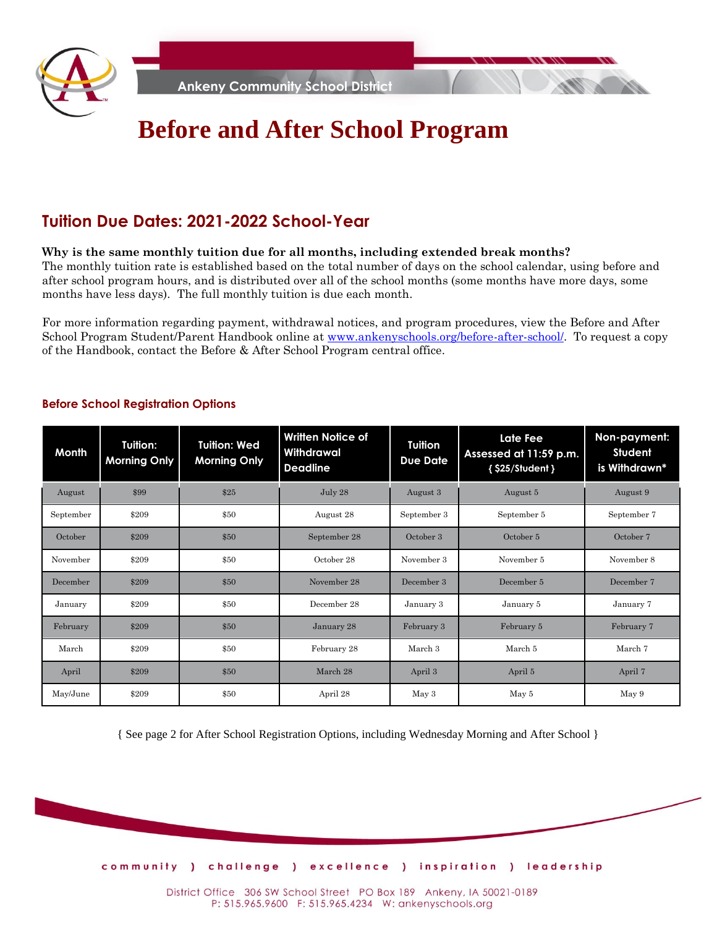

**Ankeny Community School District**

# **Before and After School Program**

## **Tuition Due Dates: 2021-2022 School-Year**

#### **Why is the same monthly tuition due for all months, including extended break months?**

The monthly tuition rate is established based on the total number of days on the school calendar, using before and after school program hours, and is distributed over all of the school months (some months have more days, some months have less days). The full monthly tuition is due each month.

For more information regarding payment, withdrawal notices, and program procedures, view the Before and After School Program Student/Parent Handbook online at [www.ankenyschools.org/before-after-school/.](http://www.ankenyschools.org/before-after-school/) To request a copy of the Handbook, contact the Before & After School Program central office.

| Month     | Tuition:<br><b>Morning Only</b> | <b>Tuition: Wed</b><br><b>Morning Only</b> | <b>Written Notice of</b><br>Withdrawal<br><b>Deadline</b> | <b>Tuition</b><br><b>Due Date</b> | Late Fee<br>Assessed at 11:59 p.m.<br>{ \$25/Student } | Non-payment:<br>Student<br>is Withdrawn* |
|-----------|---------------------------------|--------------------------------------------|-----------------------------------------------------------|-----------------------------------|--------------------------------------------------------|------------------------------------------|
| August    | \$99                            | \$25                                       | July 28                                                   | August 3                          | August 5                                               | August 9                                 |
| September | \$209                           | \$50                                       | August 28                                                 | September 3                       | September 5                                            | September 7                              |
| October   | \$209                           | \$50                                       | September 28                                              | October 3                         | October 5                                              | October 7                                |
| November  | \$209                           | \$50                                       | October 28                                                | November 3                        | November 5                                             | November 8                               |
| December  | \$209                           | \$50                                       | November 28                                               | December 3                        | December 5                                             | December 7                               |
| January   | \$209                           | \$50                                       | December 28                                               | January 3                         | January 5                                              | January 7                                |
| February  | \$209                           | \$50                                       | January 28                                                | February 3                        | February 5                                             | February 7                               |
| March     | \$209                           | \$50                                       | February 28                                               | March 3                           | March 5                                                | March 7                                  |
| April     | \$209                           | \$50                                       | March 28                                                  | April 3                           | April 5                                                | April 7                                  |
| May/June  | \$209                           | \$50                                       | April 28                                                  | May 3                             | May 5                                                  | May 9                                    |

#### **Before School Registration Options**

{ See page 2 for After School Registration Options, including Wednesday Morning and After School }



District Office 306 SW School Street PO Box 189 Ankeny, IA 50021-0189 P: 515.965.9600 F: 515.965.4234 W: ankenyschools.org

community ) challenge ) excellence ) inspiration ) leadership